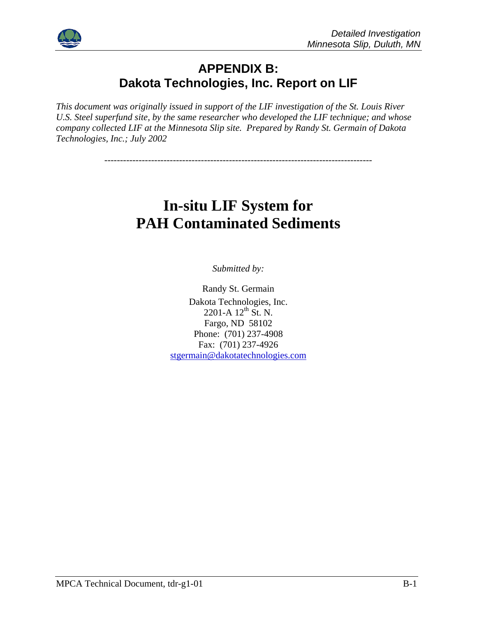

### **APPENDIX B: Dakota Technologies, Inc. Report on LIF**

*This document was originally issued in support of the LIF investigation of the St. Louis River U.S. Steel superfund site, by the same researcher who developed the LIF technique; and whose company collected LIF at the Minnesota Slip site. Prepared by Randy St. Germain of Dakota Technologies, Inc.; July 2002* 

--------------------------------------------------------------------------------------

# **In-situ LIF System for PAH Contaminated Sediments**

*Submitted by:* 

Randy St. Germain Dakota Technologies, Inc.  $2201-A$   $12^{th}$  St. N. Fargo, ND 58102 Phone: (701) 237-4908 Fax: (701) 237-4926 stgermain@dakotatechnologies.com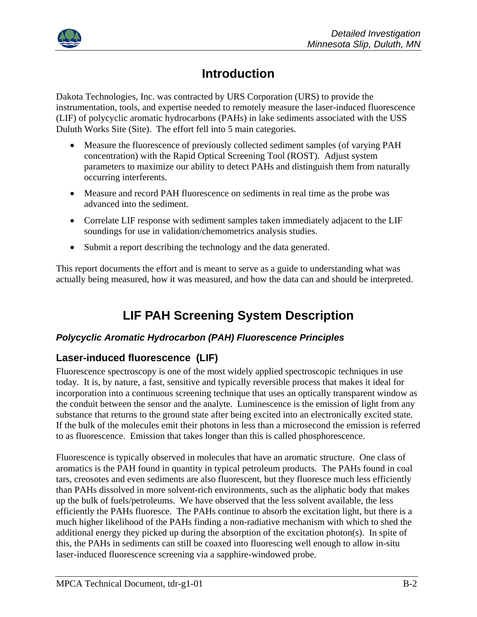

## **Introduction**

Dakota Technologies, Inc. was contracted by URS Corporation (URS) to provide the instrumentation, tools, and expertise needed to remotely measure the laser-induced fluorescence (LIF) of polycyclic aromatic hydrocarbons (PAHs) in lake sediments associated with the USS Duluth Works Site (Site). The effort fell into 5 main categories.

- Measure the fluorescence of previously collected sediment samples (of varying PAH concentration) with the Rapid Optical Screening Tool (ROST). Adjust system parameters to maximize our ability to detect PAHs and distinguish them from naturally occurring interferents.
- Measure and record PAH fluorescence on sediments in real time as the probe was advanced into the sediment.
- Correlate LIF response with sediment samples taken immediately adjacent to the LIF soundings for use in validation/chemometrics analysis studies.
- Submit a report describing the technology and the data generated.

This report documents the effort and is meant to serve as a guide to understanding what was actually being measured, how it was measured, and how the data can and should be interpreted.

## **LIF PAH Screening System Description**

#### *Polycyclic Aromatic Hydrocarbon (PAH) Fluorescence Principles*

#### **Laser-induced fluorescence (LIF)**

Fluorescence spectroscopy is one of the most widely applied spectroscopic techniques in use today. It is, by nature, a fast, sensitive and typically reversible process that makes it ideal for incorporation into a continuous screening technique that uses an optically transparent window as the conduit between the sensor and the analyte. Luminescence is the emission of light from any substance that returns to the ground state after being excited into an electronically excited state. If the bulk of the molecules emit their photons in less than a microsecond the emission is referred to as fluorescence. Emission that takes longer than this is called phosphorescence.

Fluorescence is typically observed in molecules that have an aromatic structure. One class of aromatics is the PAH found in quantity in typical petroleum products. The PAHs found in coal tars, creosotes and even sediments are also fluorescent, but they fluoresce much less efficiently than PAHs dissolved in more solvent-rich environments, such as the aliphatic body that makes up the bulk of fuels/petroleums. We have observed that the less solvent available, the less efficiently the PAHs fluoresce. The PAHs continue to absorb the excitation light, but there is a much higher likelihood of the PAHs finding a non-radiative mechanism with which to shed the additional energy they picked up during the absorption of the excitation photon(s). In spite of this, the PAHs in sediments can still be coaxed into fluorescing well enough to allow in-situ laser-induced fluorescence screening via a sapphire-windowed probe.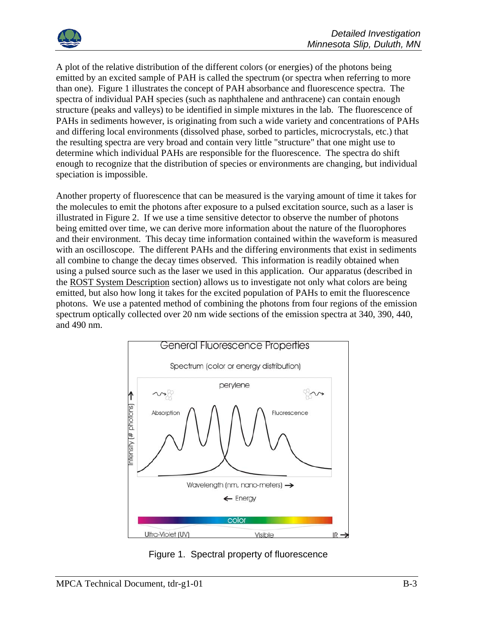

A plot of the relative distribution of the different colors (or energies) of the photons being emitted by an excited sample of PAH is called the spectrum (or spectra when referring to more than one). Figure 1 illustrates the concept of PAH absorbance and fluorescence spectra. The spectra of individual PAH species (such as naphthalene and anthracene) can contain enough structure (peaks and valleys) to be identified in simple mixtures in the lab. The fluorescence of PAHs in sediments however, is originating from such a wide variety and concentrations of PAHs and differing local environments (dissolved phase, sorbed to particles, microcrystals, etc.) that the resulting spectra are very broad and contain very little "structure" that one might use to determine which individual PAHs are responsible for the fluorescence. The spectra do shift enough to recognize that the distribution of species or environments are changing, but individual speciation is impossible.

Another property of fluorescence that can be measured is the varying amount of time it takes for the molecules to emit the photons after exposure to a pulsed excitation source, such as a laser is illustrated in Figure 2. If we use a time sensitive detector to observe the number of photons being emitted over time, we can derive more information about the nature of the fluorophores and their environment. This decay time information contained within the waveform is measured with an oscilloscope. The different PAHs and the differing environments that exist in sediments all combine to change the decay times observed. This information is readily obtained when using a pulsed source such as the laser we used in this application. Our apparatus (described in the ROST System Description section) allows us to investigate not only what colors are being emitted, but also how long it takes for the excited population of PAHs to emit the fluorescence photons. We use a patented method of combining the photons from four regions of the emission spectrum optically collected over 20 nm wide sections of the emission spectra at 340, 390, 440, and 490 nm.



Figure 1. Spectral property of fluorescence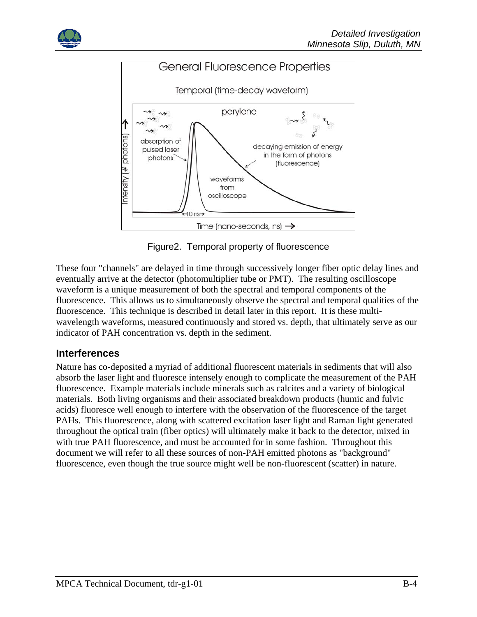



Figure2. Temporal property of fluorescence

These four "channels" are delayed in time through successively longer fiber optic delay lines and eventually arrive at the detector (photomultiplier tube or PMT). The resulting oscilloscope waveform is a unique measurement of both the spectral and temporal components of the fluorescence. This allows us to simultaneously observe the spectral and temporal qualities of the fluorescence. This technique is described in detail later in this report. It is these multiwavelength waveforms, measured continuously and stored vs. depth, that ultimately serve as our indicator of PAH concentration vs. depth in the sediment.

#### **Interferences**

Nature has co-deposited a myriad of additional fluorescent materials in sediments that will also absorb the laser light and fluoresce intensely enough to complicate the measurement of the PAH fluorescence. Example materials include minerals such as calcites and a variety of biological materials. Both living organisms and their associated breakdown products (humic and fulvic acids) fluoresce well enough to interfere with the observation of the fluorescence of the target PAHs. This fluorescence, along with scattered excitation laser light and Raman light generated throughout the optical train (fiber optics) will ultimately make it back to the detector, mixed in with true PAH fluorescence, and must be accounted for in some fashion. Throughout this document we will refer to all these sources of non-PAH emitted photons as "background" fluorescence, even though the true source might well be non-fluorescent (scatter) in nature.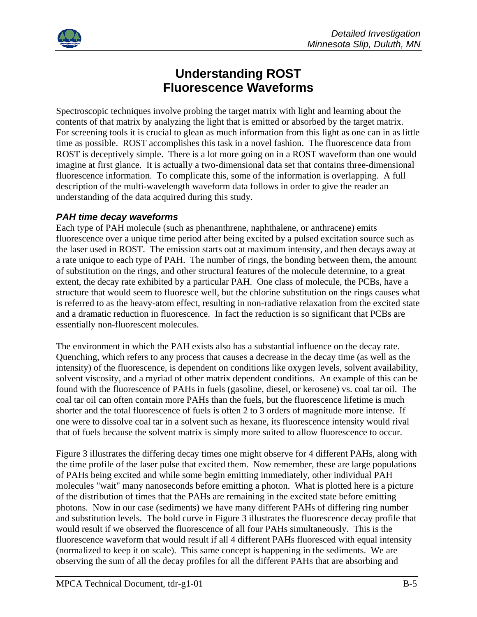

## **Understanding ROST Fluorescence Waveforms**

Spectroscopic techniques involve probing the target matrix with light and learning about the contents of that matrix by analyzing the light that is emitted or absorbed by the target matrix. For screening tools it is crucial to glean as much information from this light as one can in as little time as possible. ROST accomplishes this task in a novel fashion. The fluorescence data from ROST is deceptively simple. There is a lot more going on in a ROST waveform than one would imagine at first glance. It is actually a two-dimensional data set that contains three-dimensional fluorescence information. To complicate this, some of the information is overlapping. A full description of the multi-wavelength waveform data follows in order to give the reader an understanding of the data acquired during this study.

#### *PAH time decay waveforms*

Each type of PAH molecule (such as phenanthrene, naphthalene, or anthracene) emits fluorescence over a unique time period after being excited by a pulsed excitation source such as the laser used in ROST. The emission starts out at maximum intensity, and then decays away at a rate unique to each type of PAH. The number of rings, the bonding between them, the amount of substitution on the rings, and other structural features of the molecule determine, to a great extent, the decay rate exhibited by a particular PAH. One class of molecule, the PCBs, have a structure that would seem to fluoresce well, but the chlorine substitution on the rings causes what is referred to as the heavy-atom effect, resulting in non-radiative relaxation from the excited state and a dramatic reduction in fluorescence. In fact the reduction is so significant that PCBs are essentially non-fluorescent molecules.

The environment in which the PAH exists also has a substantial influence on the decay rate. Quenching, which refers to any process that causes a decrease in the decay time (as well as the intensity) of the fluorescence, is dependent on conditions like oxygen levels, solvent availability, solvent viscosity, and a myriad of other matrix dependent conditions. An example of this can be found with the fluorescence of PAHs in fuels (gasoline, diesel, or kerosene) vs. coal tar oil. The coal tar oil can often contain more PAHs than the fuels, but the fluorescence lifetime is much shorter and the total fluorescence of fuels is often 2 to 3 orders of magnitude more intense. If one were to dissolve coal tar in a solvent such as hexane, its fluorescence intensity would rival that of fuels because the solvent matrix is simply more suited to allow fluorescence to occur.

Figure 3 illustrates the differing decay times one might observe for 4 different PAHs, along with the time profile of the laser pulse that excited them. Now remember, these are large populations of PAHs being excited and while some begin emitting immediately, other individual PAH molecules "wait" many nanoseconds before emitting a photon. What is plotted here is a picture of the distribution of times that the PAHs are remaining in the excited state before emitting photons. Now in our case (sediments) we have many different PAHs of differing ring number and substitution levels. The bold curve in Figure 3 illustrates the fluorescence decay profile that would result if we observed the fluorescence of all four PAHs simultaneously. This is the fluorescence waveform that would result if all 4 different PAHs fluoresced with equal intensity (normalized to keep it on scale). This same concept is happening in the sediments. We are observing the sum of all the decay profiles for all the different PAHs that are absorbing and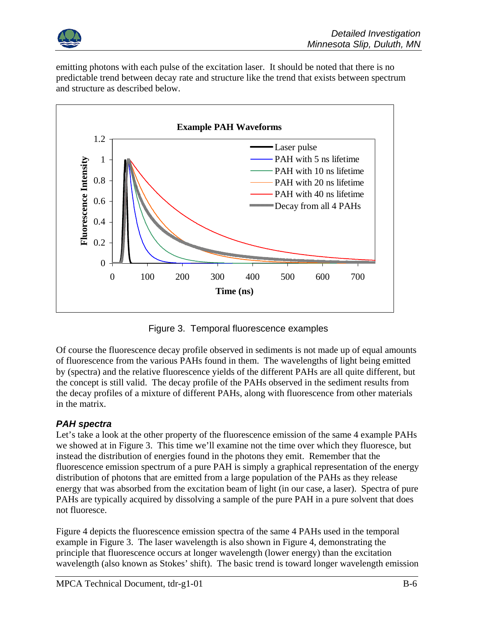

emitting photons with each pulse of the excitation laser. It should be noted that there is no predictable trend between decay rate and structure like the trend that exists between spectrum and structure as described below.



Figure 3. Temporal fluorescence examples

Of course the fluorescence decay profile observed in sediments is not made up of equal amounts of fluorescence from the various PAHs found in them. The wavelengths of light being emitted by (spectra) and the relative fluorescence yields of the different PAHs are all quite different, but the concept is still valid. The decay profile of the PAHs observed in the sediment results from the decay profiles of a mixture of different PAHs, along with fluorescence from other materials in the matrix.

#### *PAH spectra*

Let's take a look at the other property of the fluorescence emission of the same 4 example PAHs we showed at in Figure 3. This time we'll examine not the time over which they fluoresce, but instead the distribution of energies found in the photons they emit. Remember that the fluorescence emission spectrum of a pure PAH is simply a graphical representation of the energy distribution of photons that are emitted from a large population of the PAHs as they release energy that was absorbed from the excitation beam of light (in our case, a laser). Spectra of pure PAHs are typically acquired by dissolving a sample of the pure PAH in a pure solvent that does not fluoresce.

Figure 4 depicts the fluorescence emission spectra of the same 4 PAHs used in the temporal example in Figure 3. The laser wavelength is also shown in Figure 4, demonstrating the principle that fluorescence occurs at longer wavelength (lower energy) than the excitation wavelength (also known as Stokes' shift). The basic trend is toward longer wavelength emission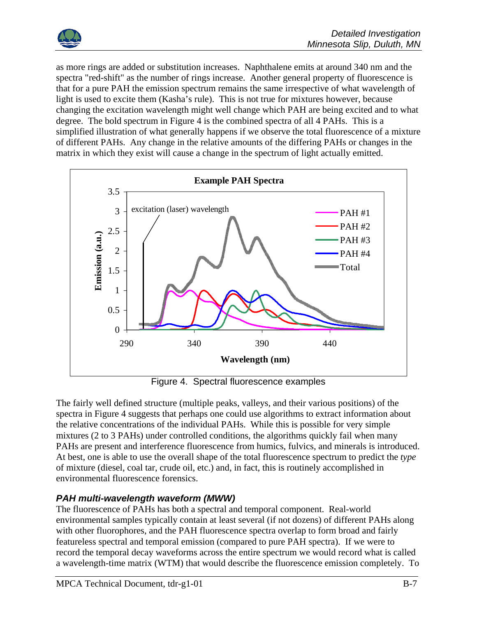

as more rings are added or substitution increases. Naphthalene emits at around 340 nm and the spectra "red-shift" as the number of rings increase. Another general property of fluorescence is that for a pure PAH the emission spectrum remains the same irrespective of what wavelength of light is used to excite them (Kasha's rule). This is not true for mixtures however, because changing the excitation wavelength might well change which PAH are being excited and to what degree. The bold spectrum in Figure 4 is the combined spectra of all 4 PAHs. This is a simplified illustration of what generally happens if we observe the total fluorescence of a mixture of different PAHs. Any change in the relative amounts of the differing PAHs or changes in the matrix in which they exist will cause a change in the spectrum of light actually emitted.



Figure 4. Spectral fluorescence examples

The fairly well defined structure (multiple peaks, valleys, and their various positions) of the spectra in Figure 4 suggests that perhaps one could use algorithms to extract information about the relative concentrations of the individual PAHs. While this is possible for very simple mixtures (2 to 3 PAHs) under controlled conditions, the algorithms quickly fail when many PAHs are present and interference fluorescence from humics, fulvics, and minerals is introduced. At best, one is able to use the overall shape of the total fluorescence spectrum to predict the *type* of mixture (diesel, coal tar, crude oil, etc.) and, in fact, this is routinely accomplished in environmental fluorescence forensics.

#### *PAH multi-wavelength waveform (MWW)*

The fluorescence of PAHs has both a spectral and temporal component. Real-world environmental samples typically contain at least several (if not dozens) of different PAHs along with other fluorophores, and the PAH fluorescence spectra overlap to form broad and fairly featureless spectral and temporal emission (compared to pure PAH spectra). If we were to record the temporal decay waveforms across the entire spectrum we would record what is called a wavelength-time matrix (WTM) that would describe the fluorescence emission completely. To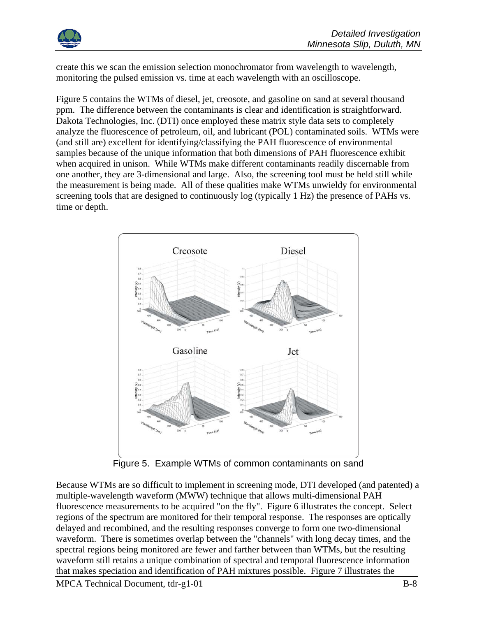

create this we scan the emission selection monochromator from wavelength to wavelength, monitoring the pulsed emission vs. time at each wavelength with an oscilloscope.

Figure 5 contains the WTMs of diesel, jet, creosote, and gasoline on sand at several thousand ppm. The difference between the contaminants is clear and identification is straightforward. Dakota Technologies, Inc. (DTI) once employed these matrix style data sets to completely analyze the fluorescence of petroleum, oil, and lubricant (POL) contaminated soils. WTMs were (and still are) excellent for identifying/classifying the PAH fluorescence of environmental samples because of the unique information that both dimensions of PAH fluorescence exhibit when acquired in unison. While WTMs make different contaminants readily discernable from one another, they are 3-dimensional and large. Also, the screening tool must be held still while the measurement is being made. All of these qualities make WTMs unwieldy for environmental screening tools that are designed to continuously log (typically 1 Hz) the presence of PAHs vs. time or depth.



Figure 5. Example WTMs of common contaminants on sand

Because WTMs are so difficult to implement in screening mode, DTI developed (and patented) a multiple-wavelength waveform (MWW) technique that allows multi-dimensional PAH fluorescence measurements to be acquired "on the fly". Figure 6 illustrates the concept. Select regions of the spectrum are monitored for their temporal response. The responses are optically delayed and recombined, and the resulting responses converge to form one two-dimensional waveform. There is sometimes overlap between the "channels" with long decay times, and the spectral regions being monitored are fewer and farther between than WTMs, but the resulting waveform still retains a unique combination of spectral and temporal fluorescence information that makes speciation and identification of PAH mixtures possible. Figure 7 illustrates the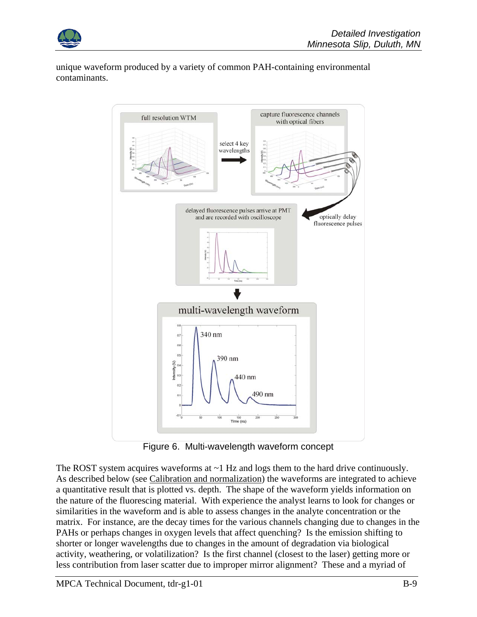

unique waveform produced by a variety of common PAH-containing environmental contaminants.



Figure 6. Multi-wavelength waveform concept

The ROST system acquires waveforms at  $\sim$  1 Hz and logs them to the hard drive continuously. As described below (see Calibration and normalization) the waveforms are integrated to achieve a quantitative result that is plotted vs. depth. The shape of the waveform yields information on the nature of the fluorescing material. With experience the analyst learns to look for changes or similarities in the waveform and is able to assess changes in the analyte concentration or the matrix. For instance, are the decay times for the various channels changing due to changes in the PAHs or perhaps changes in oxygen levels that affect quenching? Is the emission shifting to shorter or longer wavelengths due to changes in the amount of degradation via biological activity, weathering, or volatilization? Is the first channel (closest to the laser) getting more or less contribution from laser scatter due to improper mirror alignment? These and a myriad of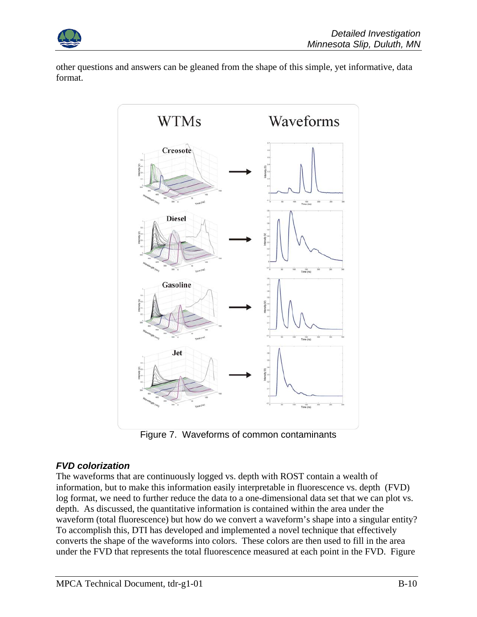

other questions and answers can be gleaned from the shape of this simple, yet informative, data format.



Figure 7. Waveforms of common contaminants

#### *FVD colorization*

The waveforms that are continuously logged vs. depth with ROST contain a wealth of information, but to make this information easily interpretable in fluorescence vs. depth (FVD) log format, we need to further reduce the data to a one-dimensional data set that we can plot vs. depth. As discussed, the quantitative information is contained within the area under the waveform (total fluorescence) but how do we convert a waveform's shape into a singular entity? To accomplish this, DTI has developed and implemented a novel technique that effectively converts the shape of the waveforms into colors. These colors are then used to fill in the area under the FVD that represents the total fluorescence measured at each point in the FVD. Figure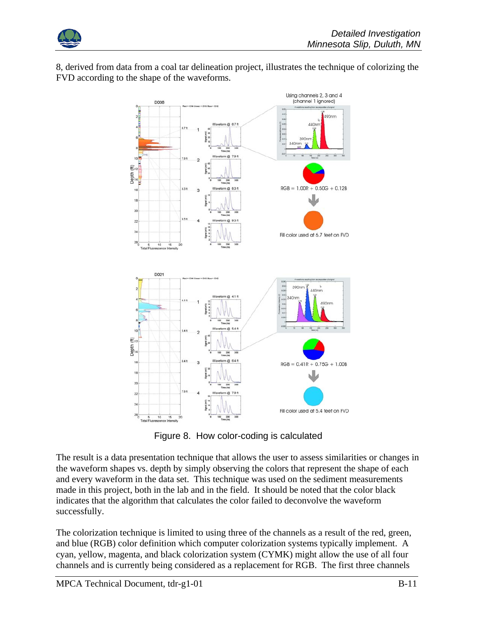

8, derived from data from a coal tar delineation project, illustrates the technique of colorizing the FVD according to the shape of the waveforms.



Figure 8. How color-coding is calculated

The result is a data presentation technique that allows the user to assess similarities or changes in the waveform shapes vs. depth by simply observing the colors that represent the shape of each and every waveform in the data set. This technique was used on the sediment measurements made in this project, both in the lab and in the field. It should be noted that the color black indicates that the algorithm that calculates the color failed to deconvolve the waveform successfully.

The colorization technique is limited to using three of the channels as a result of the red, green, and blue (RGB) color definition which computer colorization systems typically implement. A cyan, yellow, magenta, and black colorization system (CYMK) might allow the use of all four channels and is currently being considered as a replacement for RGB. The first three channels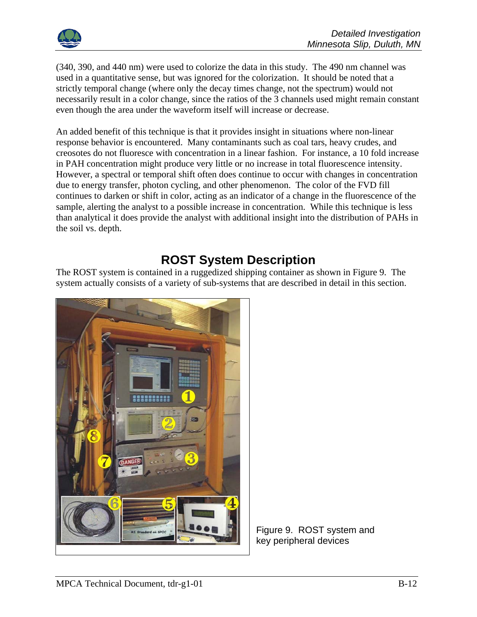

(340, 390, and 440 nm) were used to colorize the data in this study. The 490 nm channel was used in a quantitative sense, but was ignored for the colorization. It should be noted that a strictly temporal change (where only the decay times change, not the spectrum) would not necessarily result in a color change, since the ratios of the 3 channels used might remain constant even though the area under the waveform itself will increase or decrease.

An added benefit of this technique is that it provides insight in situations where non-linear response behavior is encountered. Many contaminants such as coal tars, heavy crudes, and creosotes do not fluoresce with concentration in a linear fashion. For instance, a 10 fold increase in PAH concentration might produce very little or no increase in total fluorescence intensity. However, a spectral or temporal shift often does continue to occur with changes in concentration due to energy transfer, photon cycling, and other phenomenon. The color of the FVD fill continues to darken or shift in color, acting as an indicator of a change in the fluorescence of the sample, alerting the analyst to a possible increase in concentration. While this technique is less than analytical it does provide the analyst with additional insight into the distribution of PAHs in the soil vs. depth.

## **ROST System Description**

The ROST system is contained in a ruggedized shipping container as shown in Figure 9. The system actually consists of a variety of sub-systems that are described in detail in this section.



Figure 9. ROST system and key peripheral devices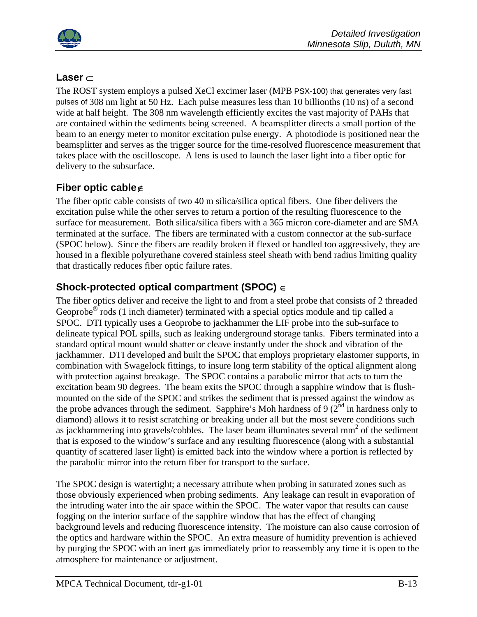

#### **Laser** ⊂

The ROST system employs a pulsed XeCl excimer laser (MPB PSX-100) that generates very fast pulses of 308 nm light at 50 Hz. Each pulse measures less than 10 billionths (10 ns) of a second wide at half height. The 308 nm wavelength efficiently excites the vast majority of PAHs that are contained within the sediments being screened. A beamsplitter directs a small portion of the beam to an energy meter to monitor excitation pulse energy. A photodiode is positioned near the beamsplitter and serves as the trigger source for the time-resolved fluorescence measurement that takes place with the oscilloscope. A lens is used to launch the laser light into a fiber optic for delivery to the subsurface.

#### **Fiber optic cable**∉

The fiber optic cable consists of two 40 m silica/silica optical fibers. One fiber delivers the excitation pulse while the other serves to return a portion of the resulting fluorescence to the surface for measurement. Both silica/silica fibers with a 365 micron core-diameter and are SMA terminated at the surface. The fibers are terminated with a custom connector at the sub-surface (SPOC below). Since the fibers are readily broken if flexed or handled too aggressively, they are housed in a flexible polyurethane covered stainless steel sheath with bend radius limiting quality that drastically reduces fiber optic failure rates.

#### **Shock-protected optical compartment (SPOC)** ∈

The fiber optics deliver and receive the light to and from a steel probe that consists of 2 threaded Geoprobe<sup>®</sup> rods (1 inch diameter) terminated with a special optics module and tip called a SPOC. DTI typically uses a Geoprobe to jackhammer the LIF probe into the sub-surface to delineate typical POL spills, such as leaking underground storage tanks. Fibers terminated into a standard optical mount would shatter or cleave instantly under the shock and vibration of the jackhammer. DTI developed and built the SPOC that employs proprietary elastomer supports, in combination with Swagelock fittings, to insure long term stability of the optical alignment along with protection against breakage. The SPOC contains a parabolic mirror that acts to turn the excitation beam 90 degrees. The beam exits the SPOC through a sapphire window that is flushmounted on the side of the SPOC and strikes the sediment that is pressed against the window as the probe advances through the sediment. Sapphire's Moh hardness of 9 ( $2^{nd}$  in hardness only to diamond) allows it to resist scratching or breaking under all but the most severe conditions such as jackhammering into gravels/cobbles. The laser beam illuminates several mm<sup>2</sup> of the sediment that is exposed to the window's surface and any resulting fluorescence (along with a substantial quantity of scattered laser light) is emitted back into the window where a portion is reflected by the parabolic mirror into the return fiber for transport to the surface.

The SPOC design is watertight; a necessary attribute when probing in saturated zones such as those obviously experienced when probing sediments. Any leakage can result in evaporation of the intruding water into the air space within the SPOC. The water vapor that results can cause fogging on the interior surface of the sapphire window that has the effect of changing background levels and reducing fluorescence intensity. The moisture can also cause corrosion of the optics and hardware within the SPOC. An extra measure of humidity prevention is achieved by purging the SPOC with an inert gas immediately prior to reassembly any time it is open to the atmosphere for maintenance or adjustment.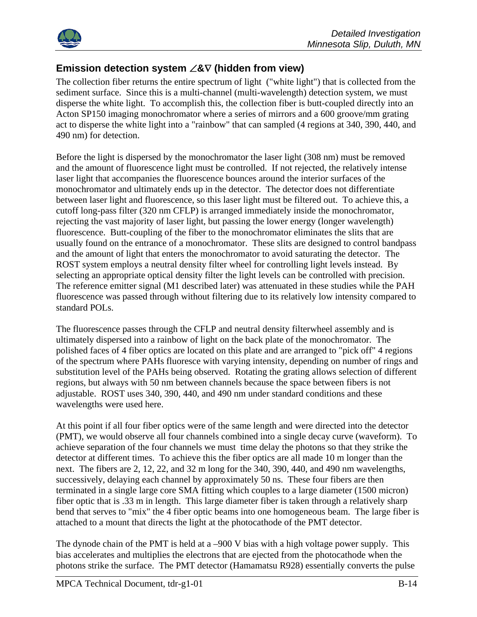

#### **Emission detection system** ∠**&**∇ **(hidden from view)**

The collection fiber returns the entire spectrum of light ("white light") that is collected from the sediment surface. Since this is a multi-channel (multi-wavelength) detection system, we must disperse the white light. To accomplish this, the collection fiber is butt-coupled directly into an Acton SP150 imaging monochromator where a series of mirrors and a 600 groove/mm grating act to disperse the white light into a "rainbow" that can sampled (4 regions at 340, 390, 440, and 490 nm) for detection.

Before the light is dispersed by the monochromator the laser light (308 nm) must be removed and the amount of fluorescence light must be controlled. If not rejected, the relatively intense laser light that accompanies the fluorescence bounces around the interior surfaces of the monochromator and ultimately ends up in the detector. The detector does not differentiate between laser light and fluorescence, so this laser light must be filtered out. To achieve this, a cutoff long-pass filter (320 nm CFLP) is arranged immediately inside the monochromator, rejecting the vast majority of laser light, but passing the lower energy (longer wavelength) fluorescence. Butt-coupling of the fiber to the monochromator eliminates the slits that are usually found on the entrance of a monochromator. These slits are designed to control bandpass and the amount of light that enters the monochromator to avoid saturating the detector. The ROST system employs a neutral density filter wheel for controlling light levels instead. By selecting an appropriate optical density filter the light levels can be controlled with precision. The reference emitter signal (M1 described later) was attenuated in these studies while the PAH fluorescence was passed through without filtering due to its relatively low intensity compared to standard POLs.

The fluorescence passes through the CFLP and neutral density filterwheel assembly and is ultimately dispersed into a rainbow of light on the back plate of the monochromator. The polished faces of 4 fiber optics are located on this plate and are arranged to "pick off" 4 regions of the spectrum where PAHs fluoresce with varying intensity, depending on number of rings and substitution level of the PAHs being observed. Rotating the grating allows selection of different regions, but always with 50 nm between channels because the space between fibers is not adjustable. ROST uses 340, 390, 440, and 490 nm under standard conditions and these wavelengths were used here.

At this point if all four fiber optics were of the same length and were directed into the detector (PMT), we would observe all four channels combined into a single decay curve (waveform). To achieve separation of the four channels we must time delay the photons so that they strike the detector at different times. To achieve this the fiber optics are all made 10 m longer than the next. The fibers are 2, 12, 22, and 32 m long for the 340, 390, 440, and 490 nm wavelengths, successively, delaying each channel by approximately 50 ns. These four fibers are then terminated in a single large core SMA fitting which couples to a large diameter (1500 micron) fiber optic that is .33 m in length. This large diameter fiber is taken through a relatively sharp bend that serves to "mix" the 4 fiber optic beams into one homogeneous beam. The large fiber is attached to a mount that directs the light at the photocathode of the PMT detector.

The dynode chain of the PMT is held at a –900 V bias with a high voltage power supply. This bias accelerates and multiplies the electrons that are ejected from the photocathode when the photons strike the surface. The PMT detector (Hamamatsu R928) essentially converts the pulse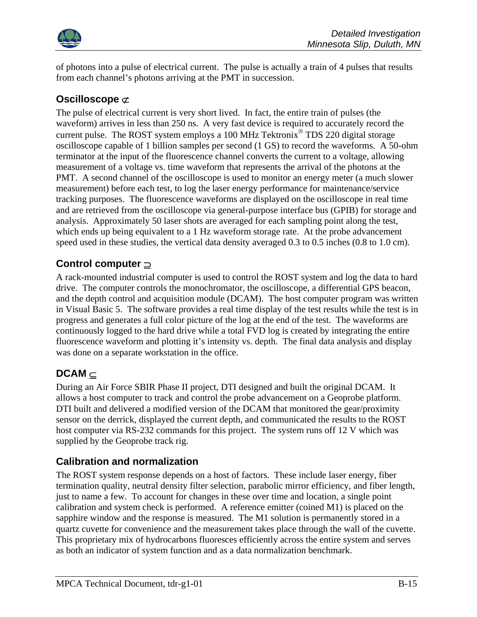

of photons into a pulse of electrical current. The pulse is actually a train of 4 pulses that results from each channel's photons arriving at the PMT in succession.

#### **Oscilloscope** ⊄

The pulse of electrical current is very short lived. In fact, the entire train of pulses (the waveform) arrives in less than 250 ns. A very fast device is required to accurately record the current pulse. The ROST system employs a 100 MHz Tektronix® TDS 220 digital storage oscilloscope capable of 1 billion samples per second (1 GS) to record the waveforms. A 50-ohm terminator at the input of the fluorescence channel converts the current to a voltage, allowing measurement of a voltage vs. time waveform that represents the arrival of the photons at the PMT. A second channel of the oscilloscope is used to monitor an energy meter (a much slower measurement) before each test, to log the laser energy performance for maintenance/service tracking purposes. The fluorescence waveforms are displayed on the oscilloscope in real time and are retrieved from the oscilloscope via general-purpose interface bus (GPIB) for storage and analysis. Approximately 50 laser shots are averaged for each sampling point along the test, which ends up being equivalent to a 1 Hz waveform storage rate. At the probe advancement speed used in these studies, the vertical data density averaged 0.3 to 0.5 inches (0.8 to 1.0 cm).

#### **Control computer** ⊇

A rack-mounted industrial computer is used to control the ROST system and log the data to hard drive. The computer controls the monochromator, the oscilloscope, a differential GPS beacon, and the depth control and acquisition module (DCAM). The host computer program was written in Visual Basic 5. The software provides a real time display of the test results while the test is in progress and generates a full color picture of the log at the end of the test. The waveforms are continuously logged to the hard drive while a total FVD log is created by integrating the entire fluorescence waveform and plotting it's intensity vs. depth. The final data analysis and display was done on a separate workstation in the office.

#### **DCAM** ⊆

During an Air Force SBIR Phase II project, DTI designed and built the original DCAM. It allows a host computer to track and control the probe advancement on a Geoprobe platform. DTI built and delivered a modified version of the DCAM that monitored the gear/proximity sensor on the derrick, displayed the current depth, and communicated the results to the ROST host computer via RS-232 commands for this project. The system runs off 12 V which was supplied by the Geoprobe track rig.

#### **Calibration and normalization**

The ROST system response depends on a host of factors. These include laser energy, fiber termination quality, neutral density filter selection, parabolic mirror efficiency, and fiber length, just to name a few. To account for changes in these over time and location, a single point calibration and system check is performed. A reference emitter (coined M1) is placed on the sapphire window and the response is measured. The M1 solution is permanently stored in a quartz cuvette for convenience and the measurement takes place through the wall of the cuvette. This proprietary mix of hydrocarbons fluoresces efficiently across the entire system and serves as both an indicator of system function and as a data normalization benchmark.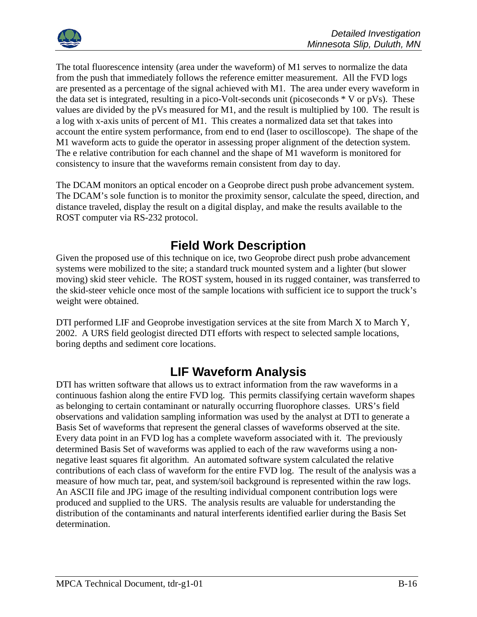

The total fluorescence intensity (area under the waveform) of M1 serves to normalize the data from the push that immediately follows the reference emitter measurement. All the FVD logs are presented as a percentage of the signal achieved with M1. The area under every waveform in the data set is integrated, resulting in a pico-Volt-seconds unit (picoseconds \* V or pVs). These values are divided by the pVs measured for M1, and the result is multiplied by 100. The result is a log with x-axis units of percent of M1. This creates a normalized data set that takes into account the entire system performance, from end to end (laser to oscilloscope). The shape of the M1 waveform acts to guide the operator in assessing proper alignment of the detection system. The e relative contribution for each channel and the shape of M1 waveform is monitored for consistency to insure that the waveforms remain consistent from day to day.

The DCAM monitors an optical encoder on a Geoprobe direct push probe advancement system. The DCAM's sole function is to monitor the proximity sensor, calculate the speed, direction, and distance traveled, display the result on a digital display, and make the results available to the ROST computer via RS-232 protocol.

### **Field Work Description**

Given the proposed use of this technique on ice, two Geoprobe direct push probe advancement systems were mobilized to the site; a standard truck mounted system and a lighter (but slower moving) skid steer vehicle. The ROST system, housed in its rugged container, was transferred to the skid-steer vehicle once most of the sample locations with sufficient ice to support the truck's weight were obtained.

DTI performed LIF and Geoprobe investigation services at the site from March X to March Y, 2002. A URS field geologist directed DTI efforts with respect to selected sample locations, boring depths and sediment core locations.

## **LIF Waveform Analysis**

DTI has written software that allows us to extract information from the raw waveforms in a continuous fashion along the entire FVD log. This permits classifying certain waveform shapes as belonging to certain contaminant or naturally occurring fluorophore classes. URS's field observations and validation sampling information was used by the analyst at DTI to generate a Basis Set of waveforms that represent the general classes of waveforms observed at the site. Every data point in an FVD log has a complete waveform associated with it. The previously determined Basis Set of waveforms was applied to each of the raw waveforms using a nonnegative least squares fit algorithm. An automated software system calculated the relative contributions of each class of waveform for the entire FVD log. The result of the analysis was a measure of how much tar, peat, and system/soil background is represented within the raw logs. An ASCII file and JPG image of the resulting individual component contribution logs were produced and supplied to the URS. The analysis results are valuable for understanding the distribution of the contaminants and natural interferents identified earlier during the Basis Set determination.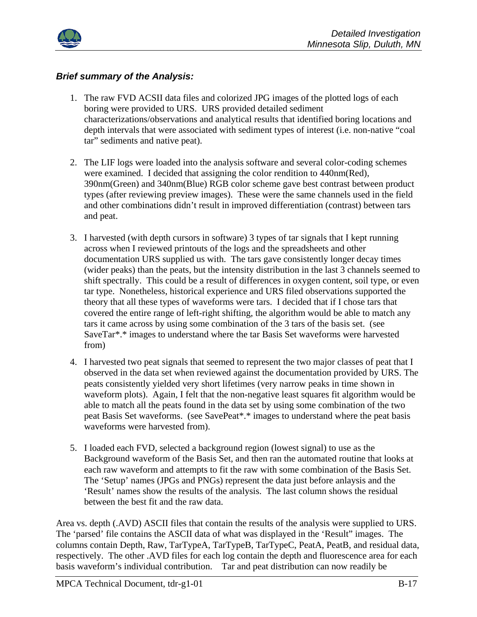

#### *Brief summary of the Analysis:*

- 1. The raw FVD ACSII data files and colorized JPG images of the plotted logs of each boring were provided to URS. URS provided detailed sediment characterizations/observations and analytical results that identified boring locations and depth intervals that were associated with sediment types of interest (i.e. non-native "coal tar" sediments and native peat).
- 2. The LIF logs were loaded into the analysis software and several color-coding schemes were examined. I decided that assigning the color rendition to 440nm(Red), 390nm(Green) and 340nm(Blue) RGB color scheme gave best contrast between product types (after reviewing preview images). These were the same channels used in the field and other combinations didn't result in improved differentiation (contrast) between tars and peat.
- 3. I harvested (with depth cursors in software) 3 types of tar signals that I kept running across when I reviewed printouts of the logs and the spreadsheets and other documentation URS supplied us with. The tars gave consistently longer decay times (wider peaks) than the peats, but the intensity distribution in the last 3 channels seemed to shift spectrally. This could be a result of differences in oxygen content, soil type, or even tar type. Nonetheless, historical experience and URS filed observations supported the theory that all these types of waveforms were tars. I decided that if I chose tars that covered the entire range of left-right shifting, the algorithm would be able to match any tars it came across by using some combination of the 3 tars of the basis set. (see SaveTar\*.\* images to understand where the tar Basis Set waveforms were harvested from)
- 4. I harvested two peat signals that seemed to represent the two major classes of peat that I observed in the data set when reviewed against the documentation provided by URS. The peats consistently yielded very short lifetimes (very narrow peaks in time shown in waveform plots). Again, I felt that the non-negative least squares fit algorithm would be able to match all the peats found in the data set by using some combination of the two peat Basis Set waveforms. (see SavePeat\*.\* images to understand where the peat basis waveforms were harvested from).
- 5. I loaded each FVD, selected a background region (lowest signal) to use as the Background waveform of the Basis Set, and then ran the automated routine that looks at each raw waveform and attempts to fit the raw with some combination of the Basis Set. The 'Setup' names (JPGs and PNGs) represent the data just before anlaysis and the 'Result' names show the results of the analysis. The last column shows the residual between the best fit and the raw data.

Area vs. depth (.AVD) ASCII files that contain the results of the analysis were supplied to URS. The 'parsed' file contains the ASCII data of what was displayed in the 'Result" images. The columns contain Depth, Raw, TarTypeA, TarTypeB, TarTypeC, PeatA, PeatB, and residual data, respectively. The other .AVD files for each log contain the depth and fluorescence area for each basis waveform's individual contribution. Tar and peat distribution can now readily be